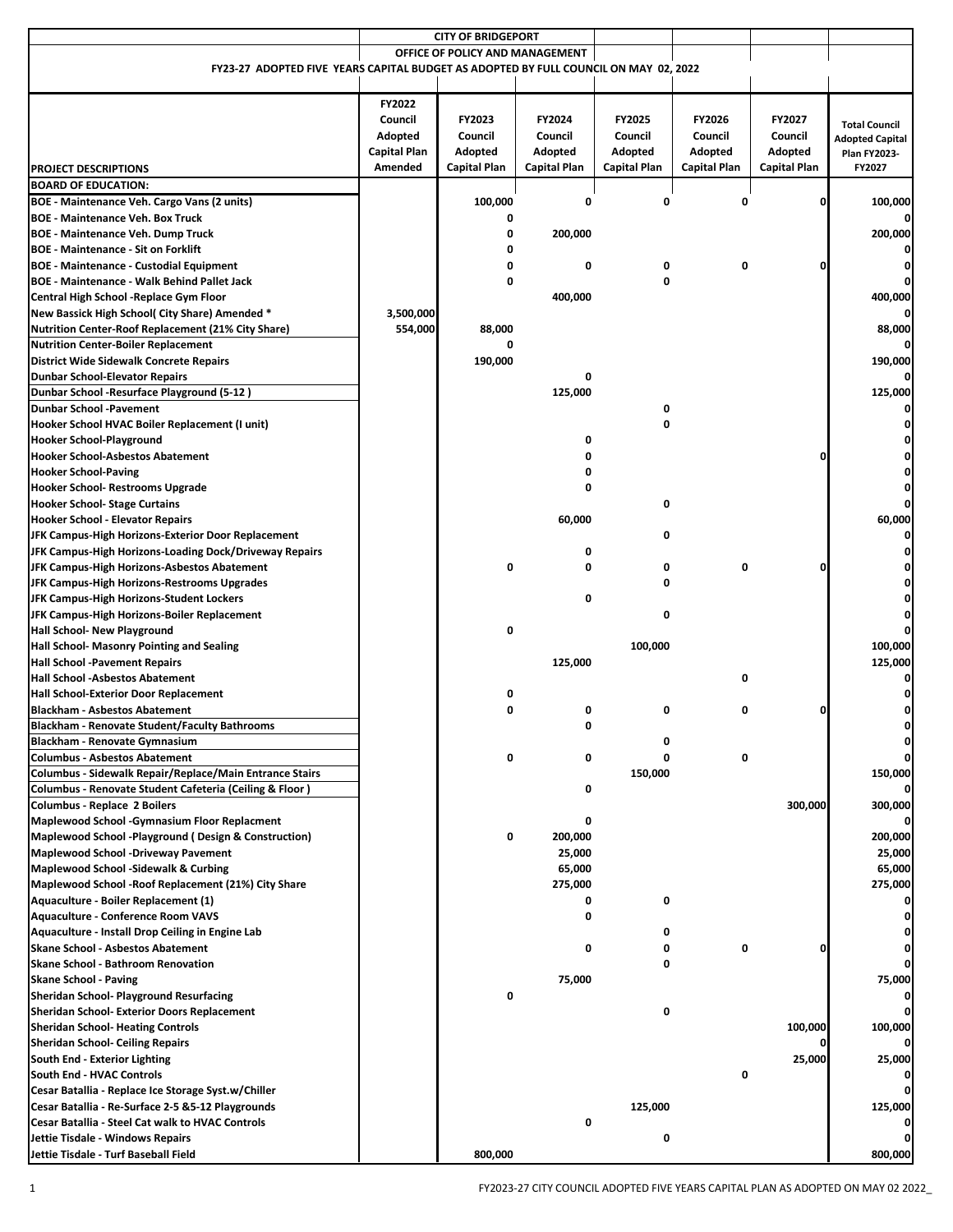| <b>CITY OF BRIDGEPORT</b>                                                                    |                                 |                     |                     |              |                     |              |                        |
|----------------------------------------------------------------------------------------------|---------------------------------|---------------------|---------------------|--------------|---------------------|--------------|------------------------|
|                                                                                              | OFFICE OF POLICY AND MANAGEMENT |                     |                     |              |                     |              |                        |
| FY23-27 ADOPTED FIVE YEARS CAPITAL BUDGET AS ADOPTED BY FULL COUNCIL ON MAY 02, 2022         |                                 |                     |                     |              |                     |              |                        |
|                                                                                              |                                 |                     |                     |              |                     |              |                        |
|                                                                                              | FY2022<br>Council               | FY2023              | FY2024              | FY2025       | <b>FY2026</b>       | FY2027       | <b>Total Council</b>   |
|                                                                                              | Adopted                         | Council             | Council             | Council      | Council             | Council      | <b>Adopted Capital</b> |
|                                                                                              | Capital Plan                    | Adopted             | Adopted             | Adopted      | Adopted             | Adopted      | <b>Plan FY2023-</b>    |
| <b>PROJECT DESCRIPTIONS</b>                                                                  | Amended                         | <b>Capital Plan</b> | <b>Capital Plan</b> | Capital Plan | <b>Capital Plan</b> | Capital Plan | FY2027                 |
| <b>BOARD OF EDUCATION:</b>                                                                   |                                 |                     |                     |              |                     |              |                        |
| BOE - Maintenance Veh. Cargo Vans (2 units)                                                  |                                 | 100,000             | 0                   | 0            | 0                   |              | 100,000                |
| <b>BOE - Maintenance Veh. Box Truck</b>                                                      |                                 | 0                   |                     |              |                     |              |                        |
| <b>BOE - Maintenance Veh. Dump Truck</b>                                                     |                                 | 0                   | 200,000             |              |                     |              | 200,000                |
| <b>BOE - Maintenance - Sit on Forklift</b>                                                   |                                 | 0                   |                     |              |                     |              |                        |
| <b>BOE - Maintenance - Custodial Equipment</b>                                               |                                 | 0<br>0              | 0                   | 0<br>0       | 0                   |              |                        |
| <b>BOE - Maintenance - Walk Behind Pallet Jack</b>                                           |                                 |                     | 400,000             |              |                     |              | 400,000                |
| Central High School -Replace Gym Floor<br>New Bassick High School( City Share) Amended *     | 3,500,000                       |                     |                     |              |                     |              |                        |
| <b>Nutrition Center-Roof Replacement (21% City Share)</b>                                    | 554,000                         | 88,000              |                     |              |                     |              | 88,000                 |
| <b>Nutrition Center-Boiler Replacement</b>                                                   |                                 | 0                   |                     |              |                     |              | 0                      |
| <b>District Wide Sidewalk Concrete Repairs</b>                                               |                                 | 190,000             |                     |              |                     |              | 190,000                |
| <b>Dunbar School-Elevator Repairs</b>                                                        |                                 |                     | 0                   |              |                     |              |                        |
| Dunbar School -Resurface Playground (5-12)                                                   |                                 |                     | 125,000             |              |                     |              | 125,000                |
| <b>Dunbar School -Pavement</b>                                                               |                                 |                     |                     | 0            |                     |              |                        |
| Hooker School HVAC Boiler Replacement (I unit)                                               |                                 |                     |                     | 0            |                     |              |                        |
| <b>Hooker School-Playground</b>                                                              |                                 |                     | 0                   |              |                     |              |                        |
| <b>Hooker School-Asbestos Abatement</b>                                                      |                                 |                     | 0                   |              |                     |              |                        |
| <b>Hooker School-Paving</b>                                                                  |                                 |                     | 0                   |              |                     |              |                        |
| Hooker School- Restrooms Upgrade                                                             |                                 |                     | 0                   |              |                     |              |                        |
| <b>Hooker School- Stage Curtains</b>                                                         |                                 |                     |                     | 0            |                     |              | 0                      |
| Hooker School - Elevator Repairs                                                             |                                 |                     | 60,000              |              |                     |              | 60,000                 |
| JFK Campus-High Horizons-Exterior Door Replacement                                           |                                 |                     |                     | 0            |                     |              |                        |
| JFK Campus-High Horizons-Loading Dock/Driveway Repairs                                       |                                 |                     | 0                   |              |                     |              |                        |
| JFK Campus-High Horizons-Asbestos Abatement                                                  |                                 | 0                   | 0                   | 0            | 0                   |              |                        |
| JFK Campus-High Horizons-Restrooms Upgrades                                                  |                                 |                     |                     | 0            |                     |              |                        |
| JFK Campus-High Horizons-Student Lockers                                                     |                                 |                     | 0                   |              |                     |              |                        |
| JFK Campus-High Horizons-Boiler Replacement<br><b>Hall School- New Playground</b>            |                                 | 0                   |                     | 0            |                     |              |                        |
| Hall School- Masonry Pointing and Sealing                                                    |                                 |                     |                     | 100,000      |                     |              | 100,000                |
| <b>Hall School -Pavement Repairs</b>                                                         |                                 |                     | 125,000             |              |                     |              | 125,000                |
| <b>Hall School -Asbestos Abatement</b>                                                       |                                 |                     |                     |              | 0                   |              |                        |
| <b>Hall School-Exterior Door Replacement</b>                                                 |                                 | 0                   |                     |              |                     |              |                        |
| <b>Blackham - Asbestos Abatement</b>                                                         |                                 | 0                   | 0                   | 0            | 0                   |              | ŋ                      |
| <b>Blackham - Renovate Student/Faculty Bathrooms</b>                                         |                                 |                     | 0                   |              |                     |              |                        |
| Blackham - Renovate Gymnasium                                                                |                                 |                     |                     |              |                     |              |                        |
| <b>Columbus - Asbestos Abatement</b>                                                         |                                 | 0                   | 0                   | 0            | 0                   |              | 0                      |
| Columbus - Sidewalk Repair/Replace/Main Entrance Stairs                                      |                                 |                     |                     | 150,000      |                     |              | 150,000                |
| Columbus - Renovate Student Cafeteria (Ceiling & Floor)                                      |                                 |                     | 0                   |              |                     |              |                        |
| <b>Columbus - Replace 2 Boilers</b>                                                          |                                 |                     |                     |              |                     | 300,000      | 300,000                |
| <b>Maplewood School -Gymnasium Floor Replacment</b>                                          |                                 |                     | 0                   |              |                     |              | 0                      |
| Maplewood School -Playground ( Design & Construction)                                        |                                 | 0                   | 200,000             |              |                     |              | 200,000                |
| <b>Maplewood School -Driveway Pavement</b>                                                   |                                 |                     | 25,000              |              |                     |              | 25,000                 |
| <b>Maplewood School -Sidewalk &amp; Curbing</b>                                              |                                 |                     | 65,000              |              |                     |              | 65,000                 |
| Maplewood School - Roof Replacement (21%) City Share<br>Aquaculture - Boiler Replacement (1) |                                 |                     | 275,000<br>0        | 0            |                     |              | 275,000                |
| <b>Aquaculture - Conference Room VAVS</b>                                                    |                                 |                     | 0                   |              |                     |              |                        |
| Aquaculture - Install Drop Ceiling in Engine Lab                                             |                                 |                     |                     | 0            |                     |              |                        |
| <b>Skane School - Asbestos Abatement</b>                                                     |                                 |                     | 0                   | 0            | 0                   |              |                        |
| <b>Skane School - Bathroom Renovation</b>                                                    |                                 |                     |                     | 0            |                     |              |                        |
| <b>Skane School - Paving</b>                                                                 |                                 |                     | 75,000              |              |                     |              | 75,000                 |
| <b>Sheridan School- Playground Resurfacing</b>                                               |                                 | 0                   |                     |              |                     |              | 0                      |
| Sheridan School- Exterior Doors Replacement                                                  |                                 |                     |                     | 0            |                     |              | 0                      |
| <b>Sheridan School- Heating Controls</b>                                                     |                                 |                     |                     |              |                     | 100,000      | 100,000                |
| <b>Sheridan School- Ceiling Repairs</b>                                                      |                                 |                     |                     |              |                     |              |                        |
| South End - Exterior Lighting                                                                |                                 |                     |                     |              |                     | 25,000       | 25,000                 |
| South End - HVAC Controls                                                                    |                                 |                     |                     |              | 0                   |              | 0                      |
| Cesar Batallia - Replace Ice Storage Syst.w/Chiller                                          |                                 |                     |                     |              |                     |              | 0                      |
| Cesar Batallia - Re-Surface 2-5 & 5-12 Playgrounds                                           |                                 |                     |                     | 125,000      |                     |              | 125,000                |
| Cesar Batallia - Steel Cat walk to HVAC Controls                                             |                                 |                     | 0                   |              |                     |              |                        |
| Jettie Tisdale - Windows Repairs                                                             |                                 |                     |                     | 0            |                     |              |                        |
| Jettie Tisdale - Turf Baseball Field                                                         |                                 | 800,000             |                     |              |                     |              | 800,000                |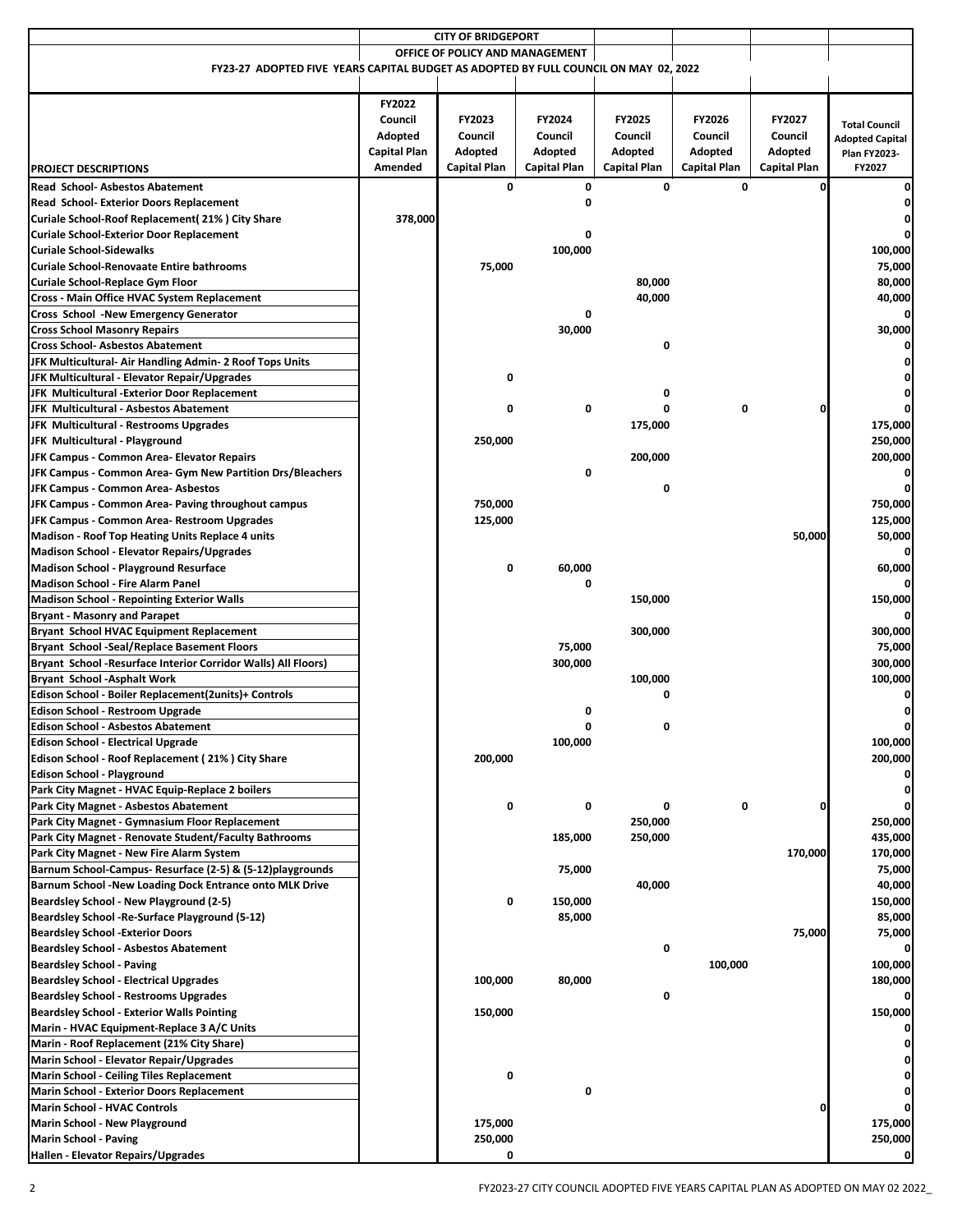|                                                                                      |              | <b>CITY OF BRIDGEPORT</b>       |                     |              |                     |               |                        |
|--------------------------------------------------------------------------------------|--------------|---------------------------------|---------------------|--------------|---------------------|---------------|------------------------|
|                                                                                      |              | OFFICE OF POLICY AND MANAGEMENT |                     |              |                     |               |                        |
| FY23-27 ADOPTED FIVE YEARS CAPITAL BUDGET AS ADOPTED BY FULL COUNCIL ON MAY 02, 2022 |              |                                 |                     |              |                     |               |                        |
|                                                                                      |              |                                 |                     |              |                     |               |                        |
|                                                                                      | FY2022       |                                 |                     |              |                     |               |                        |
|                                                                                      |              |                                 |                     |              |                     |               |                        |
|                                                                                      | Council      | FY2023                          | FY2024              | FY2025       | FY2026              | <b>FY2027</b> | <b>Total Council</b>   |
|                                                                                      | Adopted      | Council                         | Council             | Council      | Council             | Council       | <b>Adopted Capital</b> |
|                                                                                      | Capital Plan | Adopted                         | Adopted             | Adopted      | Adopted             | Adopted       | <b>Plan FY2023-</b>    |
| <b>PROJECT DESCRIPTIONS</b>                                                          | Amended      | Capital Plan                    | <b>Capital Plan</b> | Capital Plan | <b>Capital Plan</b> | Capital Plan  | FY2027                 |
| <b>Read School- Asbestos Abatement</b>                                               |              | 0                               | 0                   | 0            | $\mathbf{0}$        | O             | 0                      |
| Read School- Exterior Doors Replacement                                              |              |                                 | 0                   |              |                     |               |                        |
| Curiale School-Roof Replacement(21%) City Share                                      | 378,000      |                                 |                     |              |                     |               |                        |
|                                                                                      |              |                                 | 0                   |              |                     |               | 0                      |
| <b>Curiale School-Exterior Door Replacement</b>                                      |              |                                 |                     |              |                     |               |                        |
| <b>Curiale School-Sidewalks</b>                                                      |              |                                 | 100,000             |              |                     |               | 100,000                |
| <b>Curiale School-Renovaate Entire bathrooms</b>                                     |              | 75,000                          |                     |              |                     |               | 75,000                 |
| Curiale School-Replace Gym Floor                                                     |              |                                 |                     | 80,000       |                     |               | 80,000                 |
| Cross - Main Office HVAC System Replacement                                          |              |                                 |                     | 40,000       |                     |               | 40,000                 |
| Cross School -New Emergency Generator                                                |              |                                 | 0                   |              |                     |               | 0                      |
| <b>Cross School Masonry Repairs</b>                                                  |              |                                 | 30,000              |              |                     |               | 30,000                 |
| <b>Cross School- Asbestos Abatement</b>                                              |              |                                 |                     | 0            |                     |               |                        |
| JFK Multicultural- Air Handling Admin- 2 Roof Tops Units                             |              |                                 |                     |              |                     |               |                        |
|                                                                                      |              | 0                               |                     |              |                     |               |                        |
| JFK Multicultural - Elevator Repair/Upgrades                                         |              |                                 |                     |              |                     |               |                        |
| JFK Multicultural - Exterior Door Replacement                                        |              |                                 |                     | 0            |                     |               | 0                      |
| JFK Multicultural - Asbestos Abatement                                               |              | 0                               | 0                   |              | 0                   |               |                        |
| <b>JFK Multicultural - Restrooms Upgrades</b>                                        |              |                                 |                     | 175,000      |                     |               | 175,000                |
| JFK Multicultural - Playground                                                       |              | 250,000                         |                     |              |                     |               | 250,000                |
| JFK Campus - Common Area- Elevator Repairs                                           |              |                                 |                     | 200,000      |                     |               | 200,000                |
| JFK Campus - Common Area- Gym New Partition Drs/Bleachers                            |              |                                 | 0                   |              |                     |               | 0                      |
| JFK Campus - Common Area- Asbestos                                                   |              |                                 |                     | 0            |                     |               | 0                      |
| JFK Campus - Common Area- Paving throughout campus                                   |              | 750,000                         |                     |              |                     |               | 750,000                |
| JFK Campus - Common Area- Restroom Upgrades                                          |              | 125,000                         |                     |              |                     |               | 125,000                |
| <b>Madison - Roof Top Heating Units Replace 4 units</b>                              |              |                                 |                     |              |                     | 50,000        | 50,000                 |
| <b>Madison School - Elevator Repairs/Upgrades</b>                                    |              |                                 |                     |              |                     |               | 0                      |
|                                                                                      |              |                                 |                     |              |                     |               |                        |
| <b>Madison School - Playground Resurface</b>                                         |              | 0                               | 60,000              |              |                     |               | 60,000                 |
| <b>Madison School - Fire Alarm Panel</b>                                             |              |                                 | 0                   |              |                     |               | 0                      |
| <b>Madison School - Repointing Exterior Walls</b>                                    |              |                                 |                     | 150,000      |                     |               | 150,000                |
| <b>Bryant - Masonry and Parapet</b>                                                  |              |                                 |                     |              |                     |               |                        |
| <b>Bryant School HVAC Equipment Replacement</b>                                      |              |                                 |                     | 300,000      |                     |               | 300,000                |
| <b>Bryant School -Seal/Replace Basement Floors</b>                                   |              |                                 | 75,000              |              |                     |               | 75,000                 |
| Bryant School -Resurface Interior Corridor Walls) All Floors)                        |              |                                 | 300,000             |              |                     |               | 300,000                |
| <b>Bryant School -Asphalt Work</b>                                                   |              |                                 |                     | 100,000      |                     |               | 100,000                |
| Edison School - Boiler Replacement(2units)+ Controls                                 |              |                                 |                     | 0            |                     |               |                        |
| <b>Edison School - Restroom Upgrade</b>                                              |              |                                 | 0                   |              |                     |               | 0                      |
| <b>Edison School - Asbestos Abatement</b>                                            |              |                                 | 0                   | 0            |                     |               | 0                      |
| <b>Edison School - Electrical Upgrade</b>                                            |              |                                 | 100,000             |              |                     |               | 100,000                |
|                                                                                      |              |                                 |                     |              |                     |               |                        |
| Edison School - Roof Replacement (21%) City Share                                    |              | 200,000                         |                     |              |                     |               | 200,000                |
| <b>Edison School - Playground</b>                                                    |              |                                 |                     |              |                     |               |                        |
| Park City Magnet - HVAC Equip-Replace 2 boilers                                      |              |                                 |                     |              |                     |               | 0                      |
| <b>Park City Magnet - Asbestos Abatement</b>                                         |              | 0                               | 0                   | 0            | 0                   |               | 0                      |
| Park City Magnet - Gymnasium Floor Replacement                                       |              |                                 |                     | 250,000      |                     |               | 250,000                |
| Park City Magnet - Renovate Student/Faculty Bathrooms                                |              |                                 | 185,000             | 250,000      |                     |               | 435,000                |
| Park City Magnet - New Fire Alarm System                                             |              |                                 |                     |              |                     | 170,000       | 170,000                |
| Barnum School-Campus- Resurface (2-5) & (5-12)playgrounds                            |              |                                 | 75,000              |              |                     |               | 75,000                 |
| Barnum School -New Loading Dock Entrance onto MLK Drive                              |              |                                 |                     | 40,000       |                     |               | 40,000                 |
| Beardsley School - New Playground (2-5)                                              |              | 0                               | 150,000             |              |                     |               | 150,000                |
|                                                                                      |              |                                 |                     |              |                     |               |                        |
| Beardsley School - Re-Surface Playground (5-12)                                      |              |                                 | 85,000              |              |                     |               | 85,000                 |
| <b>Beardsley School -Exterior Doors</b>                                              |              |                                 |                     |              |                     | 75,000        | 75,000                 |
| <b>Beardsley School - Asbestos Abatement</b>                                         |              |                                 |                     | 0            |                     |               | 0                      |
| <b>Beardsley School - Paving</b>                                                     |              |                                 |                     |              | 100,000             |               | 100,000                |
| <b>Beardsley School - Electrical Upgrades</b>                                        |              | 100,000                         | 80,000              |              |                     |               | 180,000                |
| <b>Beardsley School - Restrooms Upgrades</b>                                         |              |                                 |                     | 0            |                     |               |                        |
| <b>Beardsley School - Exterior Walls Pointing</b>                                    |              | 150,000                         |                     |              |                     |               | 150,000                |
| Marin - HVAC Equipment-Replace 3 A/C Units                                           |              |                                 |                     |              |                     |               | 0                      |
| Marin - Roof Replacement (21% City Share)                                            |              |                                 |                     |              |                     |               |                        |
| Marin School - Elevator Repair/Upgrades                                              |              |                                 |                     |              |                     |               |                        |
| <b>Marin School - Ceiling Tiles Replacement</b>                                      |              | 0                               |                     |              |                     |               |                        |
| <b>Marin School - Exterior Doors Replacement</b>                                     |              |                                 | 0                   |              |                     |               |                        |
|                                                                                      |              |                                 |                     |              |                     |               |                        |
| <b>Marin School - HVAC Controls</b>                                                  |              |                                 |                     |              |                     |               |                        |
| <b>Marin School - New Playground</b>                                                 |              | 175,000                         |                     |              |                     |               | 175,000                |
| <b>Marin School - Paving</b>                                                         |              | 250,000                         |                     |              |                     |               | 250,000                |
| Hallen - Elevator Repairs/Upgrades                                                   |              | 0                               |                     |              |                     |               | 0                      |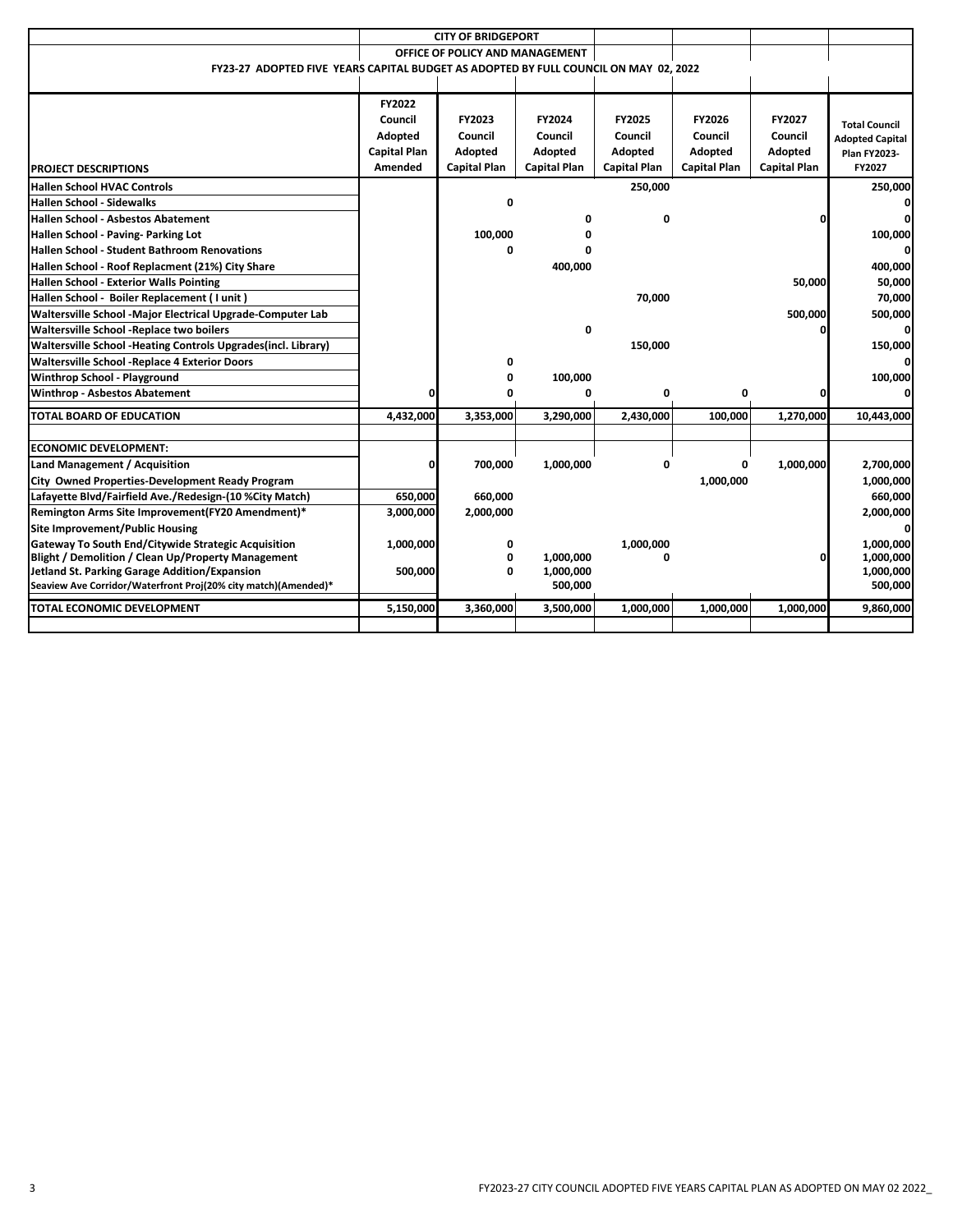|                                                                                                                  |                     | <b>CITY OF BRIDGEPORT</b>       |                     |                     |                     |                     |                        |
|------------------------------------------------------------------------------------------------------------------|---------------------|---------------------------------|---------------------|---------------------|---------------------|---------------------|------------------------|
|                                                                                                                  |                     | OFFICE OF POLICY AND MANAGEMENT |                     |                     |                     |                     |                        |
| FY23-27 ADOPTED FIVE YEARS CAPITAL BUDGET AS ADOPTED BY FULL COUNCIL ON MAY 02, 2022                             |                     |                                 |                     |                     |                     |                     |                        |
|                                                                                                                  |                     |                                 |                     |                     |                     |                     |                        |
|                                                                                                                  |                     |                                 |                     |                     |                     |                     |                        |
|                                                                                                                  | <b>FY2022</b>       |                                 |                     |                     |                     |                     |                        |
|                                                                                                                  | Council             | FY2023                          | FY2024              | <b>FY2025</b>       | FY2026              | FY2027              | <b>Total Council</b>   |
|                                                                                                                  | Adopted             | Council                         | Council             | Council             | Council             | Council             | <b>Adopted Capital</b> |
|                                                                                                                  | <b>Capital Plan</b> | Adopted                         | Adopted             | Adopted             | Adopted             | Adopted             | <b>Plan FY2023-</b>    |
| <b>PROJECT DESCRIPTIONS</b>                                                                                      | Amended             | Capital Plan                    | <b>Capital Plan</b> | <b>Capital Plan</b> | <b>Capital Plan</b> | <b>Capital Plan</b> | FY2027                 |
| <b>Hallen School HVAC Controls</b>                                                                               |                     |                                 |                     | 250,000             |                     |                     | 250,000                |
| <b>Hallen School - Sidewalks</b>                                                                                 |                     | 0                               |                     |                     |                     |                     |                        |
| <b>Hallen School - Asbestos Abatement</b>                                                                        |                     |                                 | 0                   | 0                   |                     |                     |                        |
| Hallen School - Paving- Parking Lot                                                                              |                     | 100,000                         | 0                   |                     |                     |                     | 100,000                |
| <b>Hallen School - Student Bathroom Renovations</b>                                                              |                     | 0                               | $\Omega$            |                     |                     |                     | 0                      |
| Hallen School - Roof Replacment (21%) City Share                                                                 |                     |                                 | 400,000             |                     |                     |                     | 400,000                |
| <b>Hallen School - Exterior Walls Pointing</b>                                                                   |                     |                                 |                     |                     |                     | 50,000              | 50,000                 |
| Hallen School - Boiler Replacement (I unit)                                                                      |                     |                                 |                     | 70,000              |                     |                     | 70,000                 |
| Waltersville School -Major Electrical Upgrade-Computer Lab                                                       |                     |                                 |                     |                     |                     | 500,000             | 500,000                |
| Waltersville School - Replace two boilers                                                                        |                     |                                 | $\mathbf 0$         |                     |                     |                     | 0                      |
| Waltersville School -Heating Controls Upgrades(incl. Library)                                                    |                     |                                 |                     | 150,000             |                     |                     | 150,000                |
| <b>Waltersville School -Replace 4 Exterior Doors</b>                                                             |                     | 0                               |                     |                     |                     |                     | 0                      |
| <b>Winthrop School - Playground</b>                                                                              |                     | ŋ                               | 100,000             |                     |                     |                     | 100,000                |
| <b>Winthrop - Asbestos Abatement</b>                                                                             |                     |                                 | 0                   | 0                   | 0                   |                     | O                      |
|                                                                                                                  |                     |                                 |                     |                     |                     |                     |                        |
| <b>TOTAL BOARD OF EDUCATION</b>                                                                                  | 4,432,000           | 3,353,000                       | 3,290,000           | 2,430,000           | 100,000             | 1,270,000           | 10,443,000             |
| <b>ECONOMIC DEVELOPMENT:</b>                                                                                     |                     |                                 |                     |                     |                     |                     |                        |
| Land Management / Acquisition                                                                                    |                     |                                 |                     | 0                   | 0                   |                     |                        |
|                                                                                                                  |                     | 700,000                         | 1,000,000           |                     |                     | 1,000,000           | 2,700,000              |
| City Owned Properties-Development Ready Program                                                                  | 650,000             |                                 |                     |                     | 1,000,000           |                     | 1,000,000              |
| Lafayette Blvd/Fairfield Ave./Redesign-(10 %City Match)                                                          |                     | 660,000                         |                     |                     |                     |                     | 660,000                |
| Remington Arms Site Improvement(FY20 Amendment)*                                                                 | 3,000,000           | 2,000,000                       |                     |                     |                     |                     | 2,000,000              |
| Site Improvement/Public Housing                                                                                  |                     |                                 |                     |                     |                     |                     | 0                      |
| Gateway To South End/Citywide Strategic Acquisition<br><b>Blight / Demolition / Clean Up/Property Management</b> | 1,000,000           | 0<br>Ω                          | 1,000,000           | 1,000,000           |                     |                     | 1,000,000<br>1,000,000 |
| <b>Jetland St. Parking Garage Addition/Expansion</b>                                                             | 500,000             | 0                               | 1,000,000           |                     |                     |                     | 1,000,000              |
| Seaview Ave Corridor/Waterfront Proj(20% city match)(Amended)*                                                   |                     |                                 | 500,000             |                     |                     |                     | 500,000                |
| TOTAL ECONOMIC DEVELOPMENT                                                                                       | 5,150,000           | 3,360,000                       | 3,500,000           | 1,000,000           | 1,000,000           | 1,000,000           | 9,860,000              |
|                                                                                                                  |                     |                                 |                     |                     |                     |                     |                        |
|                                                                                                                  |                     |                                 |                     |                     |                     |                     |                        |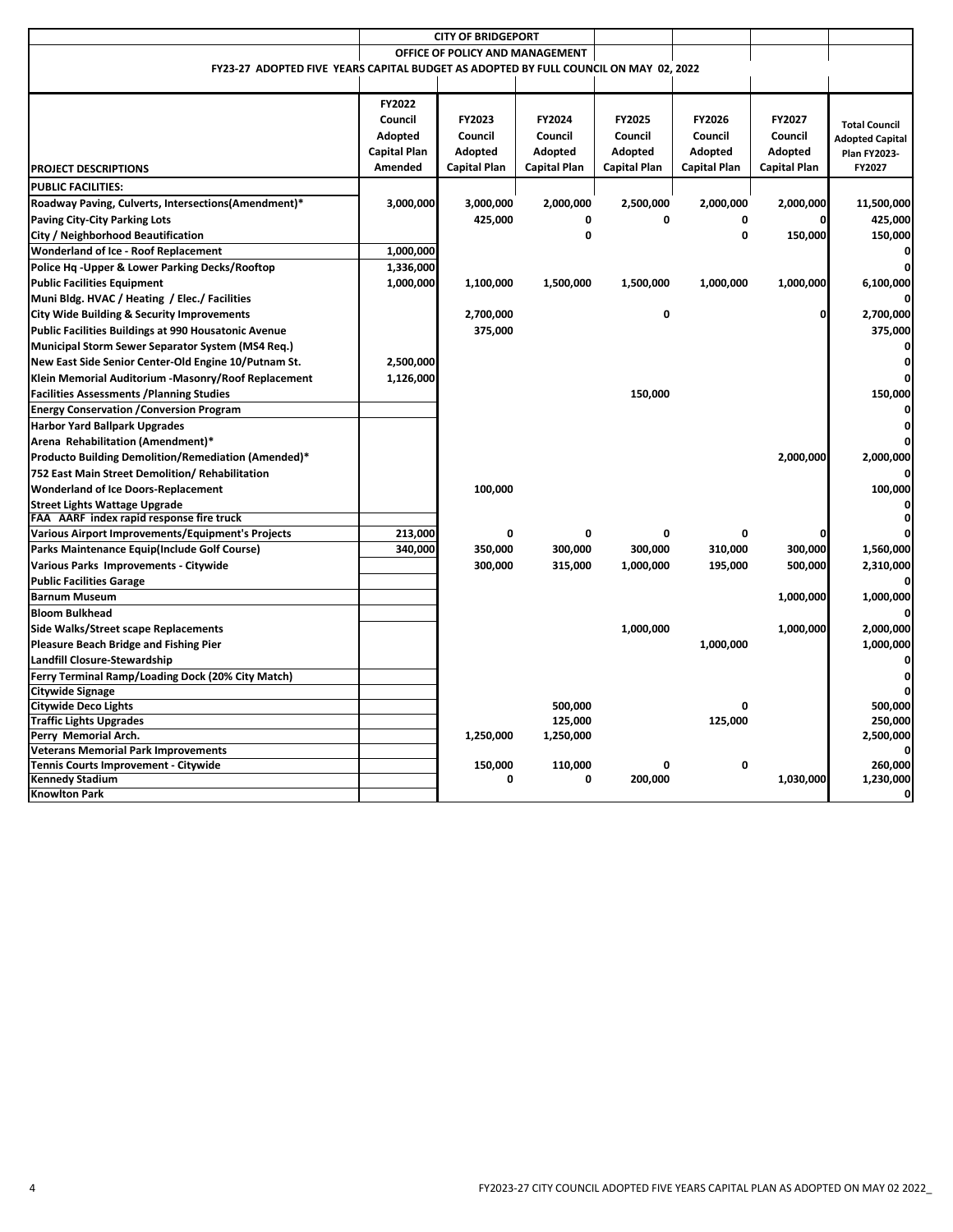|                                                                                      |                     | <b>CITY OF BRIDGEPORT</b>       |                     |                     |                     |                     |                                               |
|--------------------------------------------------------------------------------------|---------------------|---------------------------------|---------------------|---------------------|---------------------|---------------------|-----------------------------------------------|
|                                                                                      |                     | OFFICE OF POLICY AND MANAGEMENT |                     |                     |                     |                     |                                               |
| FY23-27 ADOPTED FIVE YEARS CAPITAL BUDGET AS ADOPTED BY FULL COUNCIL ON MAY 02, 2022 |                     |                                 |                     |                     |                     |                     |                                               |
|                                                                                      |                     |                                 |                     |                     |                     |                     |                                               |
|                                                                                      | FY2022              |                                 |                     |                     |                     |                     |                                               |
|                                                                                      | Council             | FY2023                          | FY2024              | FY2025              | FY2026              | FY2027              |                                               |
|                                                                                      | Adopted             | Council                         | Council             | Council             | Council             | Council             | <b>Total Council</b>                          |
|                                                                                      | <b>Capital Plan</b> | Adopted                         | Adopted             | Adopted             | Adopted             | Adopted             | <b>Adopted Capital</b><br><b>Plan FY2023-</b> |
| <b>PROJECT DESCRIPTIONS</b>                                                          | Amended             | <b>Capital Plan</b>             | <b>Capital Plan</b> | <b>Capital Plan</b> | <b>Capital Plan</b> | <b>Capital Plan</b> | FY2027                                        |
| <b>PUBLIC FACILITIES:</b>                                                            |                     |                                 |                     |                     |                     |                     |                                               |
| Roadway Paving, Culverts, Intersections(Amendment)*                                  | 3,000,000           | 3,000,000                       | 2,000,000           | 2,500,000           | 2,000,000           | 2,000,000           | 11,500,000                                    |
| <b>Paving City-City Parking Lots</b>                                                 |                     | 425,000                         | 0                   | 0                   | 0                   |                     | 425,000                                       |
| City / Neighborhood Beautification                                                   |                     |                                 | 0                   |                     | 0                   | 150,000             | 150,000                                       |
| <b>Wonderland of Ice - Roof Replacement</b>                                          | 1,000,000           |                                 |                     |                     |                     |                     |                                               |
| Police Hq - Upper & Lower Parking Decks/Rooftop                                      | 1,336,000           |                                 |                     |                     |                     |                     |                                               |
| <b>Public Facilities Equipment</b>                                                   | 1,000,000           | 1,100,000                       | 1,500,000           | 1,500,000           | 1,000,000           | 1,000,000           | 6,100,000                                     |
| Muni Bldg. HVAC / Heating / Elec./ Facilities                                        |                     |                                 |                     |                     |                     |                     |                                               |
| City Wide Building & Security Improvements                                           |                     | 2,700,000                       |                     | 0                   |                     | 0                   | 2,700,000                                     |
| Public Facilities Buildings at 990 Housatonic Avenue                                 |                     | 375,000                         |                     |                     |                     |                     | 375,000                                       |
| Municipal Storm Sewer Separator System (MS4 Req.)                                    |                     |                                 |                     |                     |                     |                     | ŋ                                             |
| New East Side Senior Center-Old Engine 10/Putnam St.                                 | 2,500,000           |                                 |                     |                     |                     |                     | ŋ                                             |
|                                                                                      | 1,126,000           |                                 |                     |                     |                     |                     |                                               |
| Klein Memorial Auditorium -Masonry/Roof Replacement                                  |                     |                                 |                     | 150,000             |                     |                     | 150,000                                       |
| <b>Facilities Assessments / Planning Studies</b>                                     |                     |                                 |                     |                     |                     |                     |                                               |
| <b>Energy Conservation / Conversion Program</b>                                      |                     |                                 |                     |                     |                     |                     |                                               |
| <b>Harbor Yard Ballpark Upgrades</b>                                                 |                     |                                 |                     |                     |                     |                     |                                               |
| Arena Rehabilitation (Amendment)*                                                    |                     |                                 |                     |                     |                     |                     |                                               |
| Producto Building Demolition/Remediation (Amended)*                                  |                     |                                 |                     |                     |                     | 2,000,000           | 2,000,000                                     |
| 752 East Main Street Demolition/ Rehabilitation                                      |                     |                                 |                     |                     |                     |                     |                                               |
| <b>Wonderland of Ice Doors-Replacement</b>                                           |                     | 100,000                         |                     |                     |                     |                     | 100,000                                       |
| <b>Street Lights Wattage Upgrade</b><br>FAA AARF index rapid response fire truck     |                     |                                 |                     |                     |                     |                     |                                               |
| Various Airport Improvements/Equipment's Projects                                    | 213,000             | 0                               | 0                   | 0                   | 0                   |                     |                                               |
| Parks Maintenance Equip(Include Golf Course)                                         | 340,000             | 350,000                         | 300,000             | 300,000             | 310,000             | 300,000             | 1,560,000                                     |
| Various Parks Improvements - Citywide                                                |                     | 300,000                         | 315,000             | 1,000,000           | 195,000             | 500,000             | 2,310,000                                     |
| <b>Public Facilities Garage</b>                                                      |                     |                                 |                     |                     |                     |                     |                                               |
| <b>Barnum Museum</b>                                                                 |                     |                                 |                     |                     |                     | 1,000,000           | 1,000,000                                     |
| <b>Bloom Bulkhead</b>                                                                |                     |                                 |                     |                     |                     |                     |                                               |
|                                                                                      |                     |                                 |                     |                     |                     |                     | 2,000,000                                     |
| Side Walks/Street scape Replacements                                                 |                     |                                 |                     | 1,000,000           | 1,000,000           | 1,000,000           | 1,000,000                                     |
| Pleasure Beach Bridge and Fishing Pier                                               |                     |                                 |                     |                     |                     |                     |                                               |
| Landfill Closure-Stewardship                                                         |                     |                                 |                     |                     |                     |                     | 0                                             |
| Ferry Terminal Ramp/Loading Dock (20% City Match)                                    |                     |                                 |                     |                     |                     |                     | n                                             |
| Citywide Signage<br><b>Citywide Deco Lights</b>                                      |                     |                                 | 500,000             |                     |                     |                     | 500.000                                       |
| <b>Traffic Lights Upgrades</b>                                                       |                     |                                 | 125,000             |                     | 125,000             |                     | 250,000                                       |
| Perry Memorial Arch.                                                                 |                     | 1,250,000                       | 1,250,000           |                     |                     |                     | 2,500,000                                     |
| <b>Veterans Memorial Park Improvements</b>                                           |                     |                                 |                     |                     |                     |                     | 0                                             |
| Tennis Courts Improvement - Citywide                                                 |                     | 150,000                         | 110,000             | 0                   | 0                   |                     | 260,000                                       |
| <b>Kennedy Stadium</b>                                                               |                     | $\Omega$                        | 0                   | 200,000             |                     | 1,030,000           | 1,230,000                                     |
| <b>Knowlton Park</b>                                                                 |                     |                                 |                     |                     |                     |                     | 0                                             |